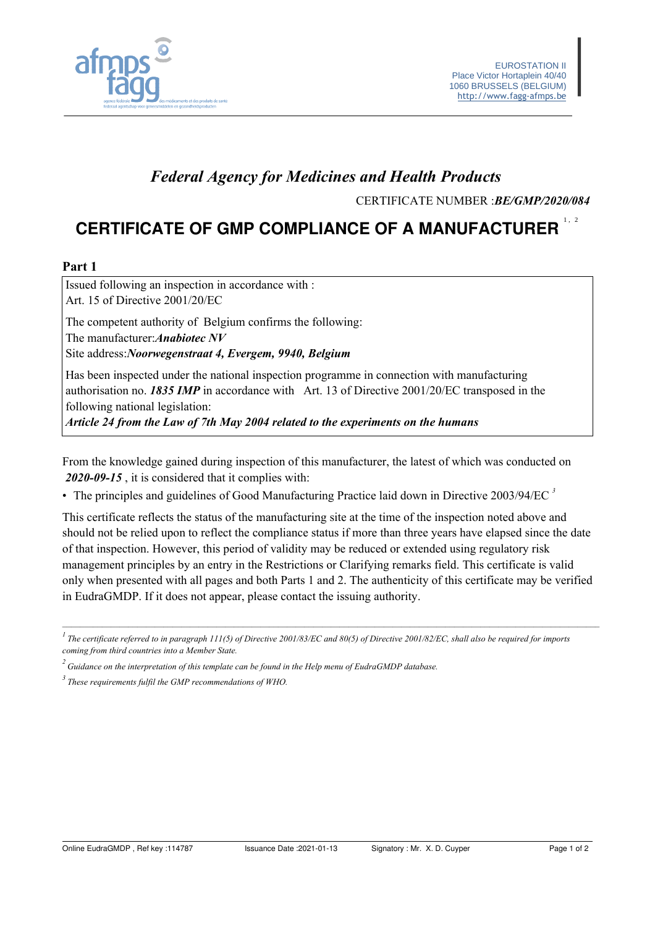

# **Federal Agency for Medicines and Health Products**

CERTIFICATE NUMBER : BE/GMP/2020/084

# **CERTIFICATE OF GMP COMPLIANCE OF A MANUFACTURER**

#### Part 1

Issued following an inspection in accordance with : Art. 15 of Directive 2001/20/EC The competent authority of Belgium confirms the following: The manufacturer: Anabiotec NV Site address: Noorwegenstraat 4, Evergem, 9940, Belgium

Has been inspected under the national inspection programme in connection with manufacturing authorisation no. 1835 IMP in accordance with Art. 13 of Directive 2001/20/EC transposed in the following national legislation:

Article 24 from the Law of 7th May 2004 related to the experiments on the humans

From the knowledge gained during inspection of this manufacturer, the latest of which was conducted on 2020-09-15, it is considered that it complies with:

• The principles and guidelines of Good Manufacturing Practice laid down in Directive  $2003/94/EC$ <sup>3</sup>

This certificate reflects the status of the manufacturing site at the time of the inspection noted above and should not be relied upon to reflect the compliance status if more than three years have elapsed since the date of that inspection. However, this period of validity may be reduced or extended using regulatory risk management principles by an entry in the Restrictions or Clarifying remarks field. This certificate is valid only when presented with all pages and both Parts 1 and 2. The authenticity of this certificate may be verified in EudraGMDP. If it does not appear, please contact the issuing authority.

 $\frac{1}{1}$ The certificate referred to in paragraph 111(5) of Directive 2001/83/EC and 80(5) of Directive 2001/82/EC, shall also be required for imports coming from third countries into a Member State.

 $\frac{2}{3}$  Guidance on the interpretation of this template can be found in the Help menu of EudraGMDP database.

 $3$  These requirements fulfil the GMP recommendations of WHO.